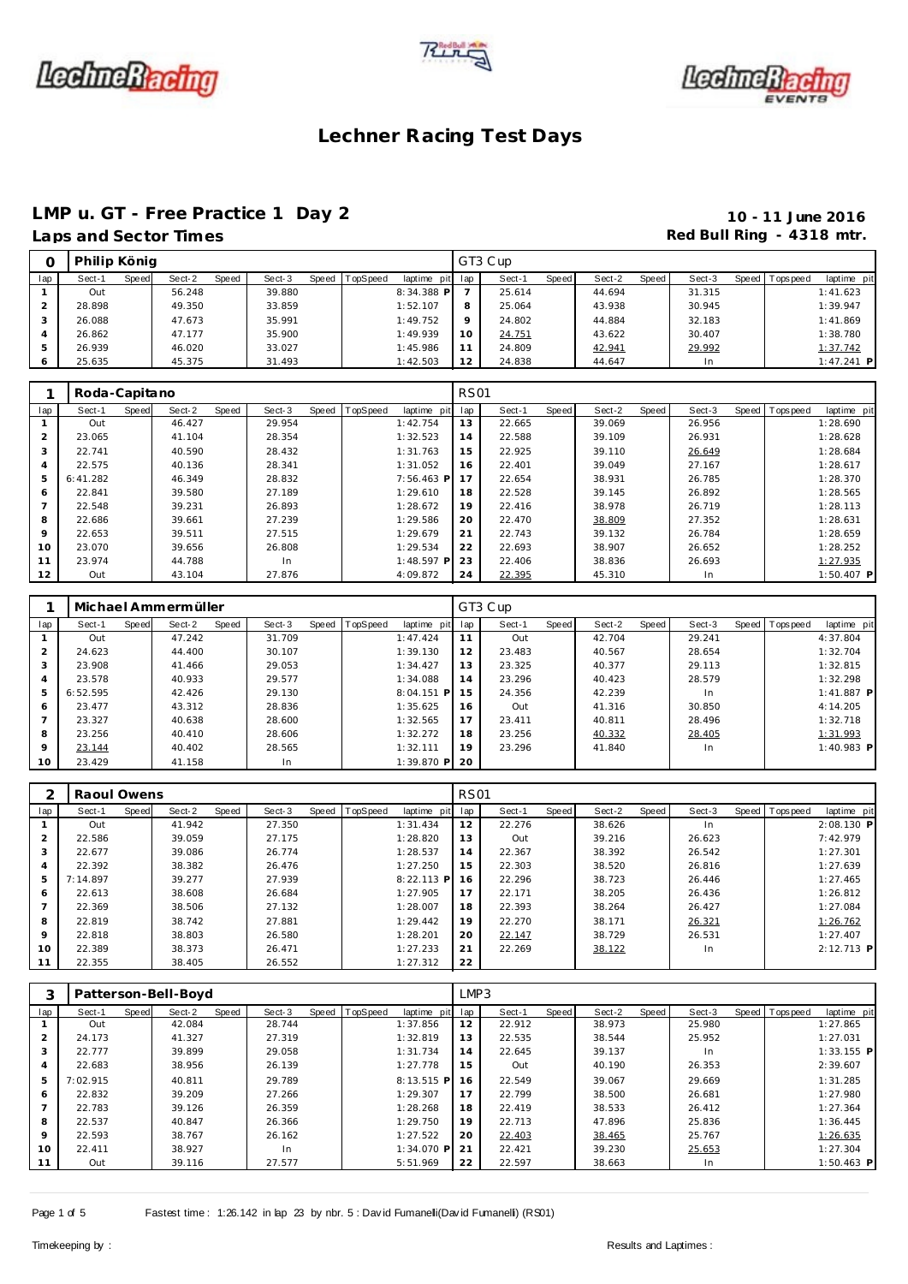





### **LMP u. GT - Free Practice 1 Day 2 10 - 11 June 2016**

## **Laps and Section 2 and Sector Times Red Bull Ring - 4318 mtr.**

|     |        | Philip König<br>Speed TopSpeed |        |       |        |  |  |                 |          | GT3 Cup |       |        |       |        |                |              |
|-----|--------|--------------------------------|--------|-------|--------|--|--|-----------------|----------|---------|-------|--------|-------|--------|----------------|--------------|
| lap | Sect-1 | Speed                          | Sect-2 | Speed | Sect-3 |  |  | laptime pit lap |          | Sect-1  | Speed | Sect-2 | Speed | Sect-3 | Speed Topspeed | laptime pit  |
|     | Out    |                                | 56.248 |       | 39.880 |  |  | $8:34.388$ P    |          | 25.614  |       | 44.694 |       | 31.315 |                | 1:41.623     |
|     | 28.898 |                                | 49.350 |       | 33.859 |  |  | 1:52.107        | 8        | 25.064  |       | 43.938 |       | 30.945 |                | 1:39.947     |
|     | 26.088 |                                | 47.673 |       | 35.991 |  |  | 1:49.752        | $\Omega$ | 24.802  |       | 44.884 |       | 32.183 |                | 1:41.869     |
|     | 26.862 |                                | 47.177 |       | 35.900 |  |  | 1:49.939        | 10       | 24.751  |       | 43.622 |       | 30.407 |                | 1:38.780     |
|     | 26.939 |                                | 46.020 |       | 33.027 |  |  | 1:45.986        |          | 24.809  |       | 42.941 |       | 29.992 |                | 1:37.742     |
|     | 25.635 |                                | 45.375 |       | 31.493 |  |  | 1:42.503        | 12       | 24.838  |       | 44.647 |       | In     |                | $1:47.241$ P |

|                | Roda-Capitano |       |        |       |        |                |              | <b>RS01</b> |        |       |        |       |        |                |              |
|----------------|---------------|-------|--------|-------|--------|----------------|--------------|-------------|--------|-------|--------|-------|--------|----------------|--------------|
| lap            | Sect-1        | Speed | Sect-2 | Speed | Sect-3 | Speed TopSpeed | laptime pit  | lap         | Sect-1 | Speed | Sect-2 | Speed | Sect-3 | Speed Topspeed | laptime pit  |
|                | Out           |       | 46.427 |       | 29.954 |                | 1:42.754     | 13          | 22.665 |       | 39.069 |       | 26.956 |                | 1:28.690     |
| $\overline{2}$ | 23.065        |       | 41.104 |       | 28.354 |                | 1:32.523     | 14          | 22.588 |       | 39.109 |       | 26.931 |                | 1:28.628     |
| 3              | 22.741        |       | 40.590 |       | 28.432 |                | 1:31.763     | 15          | 22.925 |       | 39.110 |       | 26.649 |                | 1:28.684     |
| 4              | 22.575        |       | 40.136 |       | 28.341 |                | 1:31.052     | 16          | 22.401 |       | 39.049 |       | 27.167 |                | 1:28.617     |
| 5              | 6:41.282      |       | 46.349 |       | 28.832 |                | 7:56.463 P   | 17          | 22.654 |       | 38.931 |       | 26.785 |                | 1:28.370     |
| 6              | 22.841        |       | 39.580 |       | 27.189 |                | 1:29.610     | 18          | 22.528 |       | 39.145 |       | 26.892 |                | 1:28.565     |
| $\overline{7}$ | 22.548        |       | 39.231 |       | 26.893 |                | 1:28.672     | 19          | 22.416 |       | 38.978 |       | 26.719 |                | 1:28.113     |
| 8              | 22.686        |       | 39.661 |       | 27.239 |                | 1:29.586     | 20          | 22.470 |       | 38.809 |       | 27.352 |                | 1:28.631     |
| 9              | 22.653        |       | 39.511 |       | 27.515 |                | 1:29.679     | 21          | 22.743 |       | 39.132 |       | 26.784 |                | 1:28.659     |
| 10             | 23.070        |       | 39.656 |       | 26.808 |                | 1:29.534     | 22          | 22.693 |       | 38.907 |       | 26.652 |                | 1:28.252     |
| 11             | 23.974        |       | 44.788 |       | In.    |                | $1:48.597$ P | 23          | 22.406 |       | 38.836 |       | 26.693 |                | 1:27.935     |
| 12             | Out           |       | 43.104 |       | 27.876 |                | 4:09.872     | 24          | 22.395 |       | 45.310 |       | In     |                | $1:50.407$ P |

|                |          |       | Michael Ammermüller |       |        |       |          |              |     | GT3 Cup |       |        |       |        |       |            |              |
|----------------|----------|-------|---------------------|-------|--------|-------|----------|--------------|-----|---------|-------|--------|-------|--------|-------|------------|--------------|
| lap            | Sect-1   | Speed | Sect-2              | Speed | Sect-3 | Speed | TopSpeed | laptime pit  | lap | Sect-1  | Speed | Sect-2 | Speed | Sect-3 | Speed | T ops peed | laptime pit  |
|                | Out      |       | 47.242              |       | 31.709 |       |          | 1:47.424     | 11  | Out     |       | 42.704 |       | 29.241 |       |            | 4:37.804     |
| 2              | 24.623   |       | 44.400              |       | 30.107 |       |          | 1:39.130     | 12  | 23.483  |       | 40.567 |       | 28.654 |       |            | 1:32.704     |
| 3              | 23.908   |       | 41.466              |       | 29.053 |       |          | 1:34.427     | 13  | 23.325  |       | 40.377 |       | 29.113 |       |            | 1:32.815     |
| 4              | 23.578   |       | 40.933              |       | 29.577 |       |          | 1:34.088     | 14  | 23.296  |       | 40.423 |       | 28.579 |       |            | 1:32.298     |
| 5              | 6:52.595 |       | 42.426              |       | 29.130 |       |          | $8:04.151$ P | 15  | 24.356  |       | 42.239 |       | In.    |       |            | $1:41.887$ P |
| 6              | 23.477   |       | 43.312              |       | 28.836 |       |          | 1:35.625     | 16  | Out     |       | 41.316 |       | 30.850 |       |            | 4:14.205     |
| $\overline{7}$ | 23.327   |       | 40.638              |       | 28.600 |       |          | 1:32.565     | 17  | 23.411  |       | 40.811 |       | 28.496 |       |            | 1:32.718     |
| 8              | 23.256   |       | 40.410              |       | 28.606 |       |          | 1:32.272     | 18  | 23.256  |       | 40.332 |       | 28.405 |       |            | 1:31.993     |
| 9              | 23.144   |       | 40.402              |       | 28.565 |       |          | 1:32.111     | 19  | 23.296  |       | 41.840 |       | In.    |       |            | $1:40.983$ P |
| 10             | 23.429   |       | 41.158              |       | In     |       |          | $1:39.870$ P | 20  |         |       |        |       |        |       |            |              |

|                | Raoul Owens |       |        |       |        |                |              | <b>RS01</b> |        |       |        |       |        |       |          |              |
|----------------|-------------|-------|--------|-------|--------|----------------|--------------|-------------|--------|-------|--------|-------|--------|-------|----------|--------------|
| lap            | Sect-1      | Speed | Sect-2 | Speed | Sect-3 | Speed TopSpeed | laptime pit  | lap         | Sect-1 | Speed | Sect-2 | Speed | Sect-3 | Speed | Topspeed | laptime pit  |
|                | Out         |       | 41.942 |       | 27.350 |                | 1:31.434     | 12          | 22.276 |       | 38.626 |       | In     |       |          | 2:08.130 P   |
| 2              | 22.586      |       | 39.059 |       | 27.175 |                | 1:28.820     | 13          | Out    |       | 39.216 |       | 26.623 |       |          | 7:42.979     |
| 3              | 22.677      |       | 39.086 |       | 26.774 |                | 1:28.537     | 14          | 22.367 |       | 38.392 |       | 26.542 |       |          | 1:27.301     |
| $\overline{4}$ | 22.392      |       | 38.382 |       | 26.476 |                | 1:27.250     | 15          | 22.303 |       | 38.520 |       | 26.816 |       |          | 1:27.639     |
| 5              | 7:14.897    |       | 39.277 |       | 27.939 |                | $8:22.113$ P | 16          | 22.296 |       | 38.723 |       | 26.446 |       |          | 1:27.465     |
| 6              | 22.613      |       | 38.608 |       | 26.684 |                | 1:27.905     | 17          | 22.171 |       | 38.205 |       | 26.436 |       |          | 1:26.812     |
|                | 22.369      |       | 38.506 |       | 27.132 |                | 1:28.007     | 18          | 22.393 |       | 38.264 |       | 26.427 |       |          | 1:27.084     |
| 8              | 22.819      |       | 38.742 |       | 27.881 |                | 1:29.442     | 19          | 22.270 |       | 38.171 |       | 26.321 |       |          | 1:26.762     |
| 9              | 22.818      |       | 38.803 |       | 26.580 |                | 1:28.201     | 20          | 22.147 |       | 38.729 |       | 26.531 |       |          | 1:27.407     |
| 10             | 22.389      |       | 38.373 |       | 26.471 |                | 1:27.233     | 21          | 22.269 |       | 38.122 |       | In.    |       |          | $2:12.713$ P |
| 11             | 22.355      |       | 38.405 |       | 26.552 |                | 1:27.312     | 22          |        |       |        |       |        |       |          |              |

| 3             |          |       | Patterson-Bell-Boyd |       |        |                |              | LMP3 |        |       |        |       |        |                |              |
|---------------|----------|-------|---------------------|-------|--------|----------------|--------------|------|--------|-------|--------|-------|--------|----------------|--------------|
| lap           | Sect-1   | Speed | Sect-2              | Speed | Sect-3 | Speed TopSpeed | laptime pit  | lap  | Sect-1 | Speed | Sect-2 | Speed | Sect-3 | Speed Topspeed | laptime pit  |
|               | Out      |       | 42.084              |       | 28.744 |                | 1:37.856     | 12   | 22.912 |       | 38.973 |       | 25.980 |                | 1:27.865     |
| $\mathcal{P}$ | 24.173   |       | 41.327              |       | 27.319 |                | 1:32.819     | 13   | 22.535 |       | 38.544 |       | 25.952 |                | 1:27.031     |
| 3             | 22.777   |       | 39.899              |       | 29.058 |                | 1:31.734     | 14   | 22.645 |       | 39.137 |       | In     |                | $1:33.155$ P |
| 4             | 22.683   |       | 38.956              |       | 26.139 |                | 1:27.778     | 15   | Out    |       | 40.190 |       | 26.353 |                | 2:39.607     |
| 5             | 7:02.915 |       | 40.811              |       | 29.789 |                | 8:13.515 P   | 16   | 22.549 |       | 39.067 |       | 29.669 |                | 1:31.285     |
| 6             | 22.832   |       | 39.209              |       | 27.266 |                | 1:29.307     | 17   | 22.799 |       | 38.500 |       | 26.681 |                | 1:27.980     |
|               | 22.783   |       | 39.126              |       | 26.359 |                | 1:28.268     | 18   | 22.419 |       | 38.533 |       | 26.412 |                | 1:27.364     |
| 8             | 22.537   |       | 40.847              |       | 26.366 |                | 1:29.750     | 19   | 22.713 |       | 47.896 |       | 25.836 |                | 1:36.445     |
| $\circ$       | 22.593   |       | 38.767              |       | 26.162 |                | 1:27.522     | 20   | 22.403 |       | 38.465 |       | 25.767 |                | 1:26.635     |
| 10            | 22.411   |       | 38.927              |       | In     |                | $1:34.070$ P | 21   | 22.421 |       | 39.230 |       | 25.653 |                | 1:27.304     |
|               | Out      |       | 39.116              |       | 27.577 |                | 5:51.969     | 22   | 22.597 |       | 38.663 |       | In     |                | $1:50.463$ P |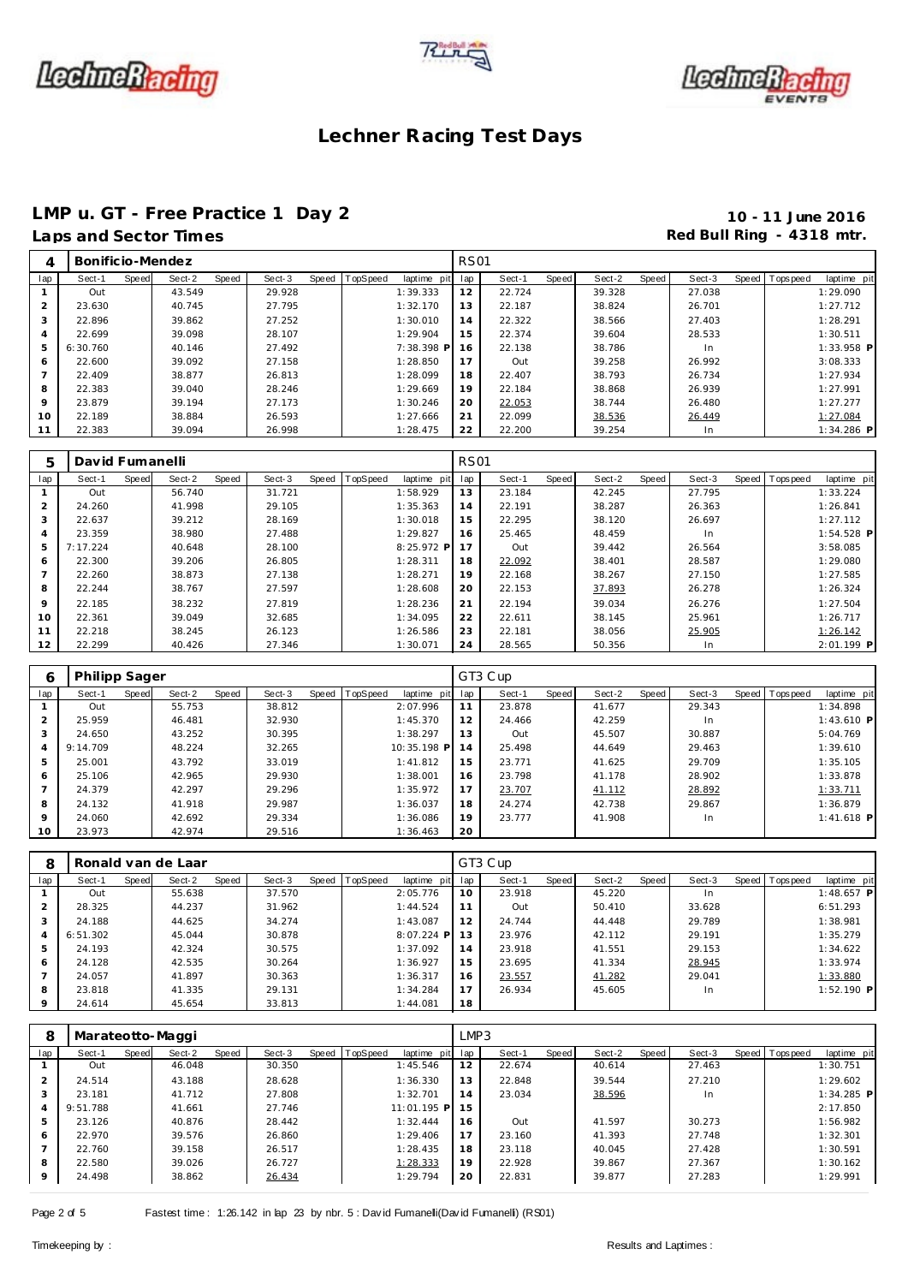





### **LMP u. GT - Free Practice 1 Day 2 10 - 11 June 2016**

### **Laps and Sector Times Red Bull Ring - 4318 mtr.**

| 4       | Bonificio-Mendez |       |        |       |        |                |             | <b>RS01</b> |        |       |        |       |        |                |              |
|---------|------------------|-------|--------|-------|--------|----------------|-------------|-------------|--------|-------|--------|-------|--------|----------------|--------------|
| lap     | Sect-1           | Speed | Sect-2 | Speed | Sect-3 | Speed TopSpeed | laptime pit | lap         | Sect-1 | Speed | Sect-2 | Speed | Sect-3 | Speed Topspeed | laptime pit  |
|         | Out              |       | 43.549 |       | 29.928 |                | 1:39.333    | 12          | 22.724 |       | 39.328 |       | 27.038 |                | 1:29.090     |
|         | 23.630           |       | 40.745 |       | 27.795 |                | 1:32.170    | 13          | 22.187 |       | 38.824 |       | 26.701 |                | 1:27.712     |
| 3       | 22.896           |       | 39.862 |       | 27.252 |                | 1:30.010    | 14          | 22.322 |       | 38.566 |       | 27.403 |                | 1:28.291     |
| 4       | 22.699           |       | 39.098 |       | 28.107 |                | 1:29.904    | 15          | 22.374 |       | 39.604 |       | 28.533 |                | 1:30.511     |
| 5       | 6:30.760         |       | 40.146 |       | 27.492 |                | 7:38.398 P  | 16          | 22.138 |       | 38.786 |       | In.    |                | 1:33.958 P   |
| 6       | 22.600           |       | 39.092 |       | 27.158 |                | 1:28.850    | 17          | Out    |       | 39.258 |       | 26.992 |                | 3:08.333     |
|         | 22.409           |       | 38.877 |       | 26.813 |                | 1:28.099    | 18          | 22.407 |       | 38.793 |       | 26.734 |                | 1:27.934     |
| 8       | 22.383           |       | 39.040 |       | 28.246 |                | 1:29.669    | 19          | 22.184 |       | 38.868 |       | 26.939 |                | 1:27.991     |
| $\circ$ | 23.879           |       | 39.194 |       | 27.173 |                | 1:30.246    | 20          | 22.053 |       | 38.744 |       | 26.480 |                | 1:27.277     |
| 10      | 22.189           |       | 38.884 |       | 26.593 |                | 1:27.666    | 21          | 22.099 |       | 38.536 |       | 26.449 |                | 1:27.084     |
| 11      | 22.383           |       | 39.094 |       | 26.998 |                | 1:28.475    | 22          | 22.200 |       | 39.254 |       | In.    |                | $1:34.286$ P |

| 5              | David Fumanelli |       |        |       |        |       |          |             | <b>RS01</b> |        |       |        |       |        |       |          |              |
|----------------|-----------------|-------|--------|-------|--------|-------|----------|-------------|-------------|--------|-------|--------|-------|--------|-------|----------|--------------|
| lap            | Sect-1          | Speed | Sect-2 | Speed | Sect-3 | Speed | TopSpeed | laptime pit | lap         | Sect-1 | Speed | Sect-2 | Speed | Sect-3 | Speed | Topspeed | laptime pit  |
|                | Out             |       | 56.740 |       | 31.721 |       |          | 1:58.929    | 13          | 23.184 |       | 42.245 |       | 27.795 |       |          | 1:33.224     |
| 2              | 24.260          |       | 41.998 |       | 29.105 |       |          | 1:35.363    | 14          | 22.191 |       | 38.287 |       | 26.363 |       |          | 1:26.841     |
| 3              | 22.637          |       | 39.212 |       | 28.169 |       |          | 1:30.018    | 15          | 22.295 |       | 38.120 |       | 26.697 |       |          | 1:27.112     |
| 4              | 23.359          |       | 38.980 |       | 27.488 |       |          | 1:29.827    | 16          | 25.465 |       | 48.459 |       | In.    |       |          | $1:54.528$ P |
| 5              | 7:17.224        |       | 40.648 |       | 28.100 |       |          | 8:25.972 P  | 17          | Out    |       | 39.442 |       | 26.564 |       |          | 3:58.085     |
| 6              | 22.300          |       | 39.206 |       | 26.805 |       |          | 1:28.311    | 18          | 22.092 |       | 38.401 |       | 28.587 |       |          | 1:29.080     |
| $\overline{ }$ | 22.260          |       | 38.873 |       | 27.138 |       |          | 1:28.271    | 19          | 22.168 |       | 38.267 |       | 27.150 |       |          | 1:27.585     |
| 8              | 22.244          |       | 38.767 |       | 27.597 |       |          | 1:28.608    | 20          | 22.153 |       | 37.893 |       | 26.278 |       |          | 1:26.324     |
| 9              | 22.185          |       | 38.232 |       | 27.819 |       |          | 1:28.236    | 21          | 22.194 |       | 39.034 |       | 26.276 |       |          | 1:27.504     |
| 10             | 22.361          |       | 39.049 |       | 32.685 |       |          | 1:34.095    | 22          | 22.611 |       | 38.145 |       | 25.961 |       |          | 1:26.717     |
| 11             | 22.218          |       | 38.245 |       | 26.123 |       |          | 1:26.586    | 23          | 22.181 |       | 38.056 |       | 25.905 |       |          | 1:26.142     |
| 12             | 22.299          |       | 40.426 |       | 27.346 |       |          | 1:30.071    | 24          | 28.565 |       | 50.356 |       | In.    |       |          | $2:01.199$ P |

| O              | <b>Philipp Sager</b> |       |        |       |        |                |             |     | GT3 Cup |       |        |       |        |                |              |
|----------------|----------------------|-------|--------|-------|--------|----------------|-------------|-----|---------|-------|--------|-------|--------|----------------|--------------|
| lap            | Sect-1               | Speed | Sect-2 | Speed | Sect-3 | Speed TopSpeed | laptime pit | lap | Sect-1  | Speed | Sect-2 | Speed | Sect-3 | Speed Topspeed | laptime pit  |
|                | Out                  |       | 55.753 |       | 38.812 |                | 2:07.996    | 11  | 23.878  |       | 41.677 |       | 29.343 |                | 1:34.898     |
| $\mathcal{P}$  | 25.959               |       | 46.481 |       | 32.930 |                | 1:45.370    | 12  | 24.466  |       | 42.259 |       | In     |                | 1:43.610 P   |
| 3              | 24.650               |       | 43.252 |       | 30.395 |                | 1:38.297    | 13  | Out     |       | 45.507 |       | 30.887 |                | 5:04.769     |
| $\overline{4}$ | 9:14.709             |       | 48.224 |       | 32.265 |                | 10:35.198 P | 14  | 25.498  |       | 44.649 |       | 29.463 |                | 1:39.610     |
| 5              | 25.001               |       | 43.792 |       | 33.019 |                | 1:41.812    | 15  | 23.771  |       | 41.625 |       | 29.709 |                | 1:35.105     |
| 6              | 25.106               |       | 42.965 |       | 29.930 |                | 1:38.001    | 16  | 23.798  |       | 41.178 |       | 28.902 |                | 1:33.878     |
|                | 24.379               |       | 42.297 |       | 29.296 |                | 1:35.972    | 17  | 23.707  |       | 41.112 |       | 28.892 |                | 1:33.711     |
| 8              | 24.132               |       | 41.918 |       | 29.987 |                | 1:36.037    | 18  | 24.274  |       | 42.738 |       | 29.867 |                | 1:36.879     |
| 9              | 24.060               |       | 42.692 |       | 29.334 |                | 1:36.086    | 19  | 23.777  |       | 41.908 |       | In.    |                | $1:41.618$ P |
| 10             | 23.973               |       | 42.974 |       | 29.516 |                | 1:36.463    | 20  |         |       |        |       |        |                |              |

| 8              | Ronald van de Laar<br>Speed   TopSpeed |       |        |       |        |  |  |              |     | GT3 Cup |       |        |       |        |                |              |
|----------------|----------------------------------------|-------|--------|-------|--------|--|--|--------------|-----|---------|-------|--------|-------|--------|----------------|--------------|
| lap            | Sect-1                                 | Speed | Sect-2 | Speed | Sect-3 |  |  | laptime pit  | lap | Sect-1  | Speed | Sect-2 | Speed | Sect-3 | Speed Topspeed | laptime pit  |
|                | Out                                    |       | 55.638 |       | 37.570 |  |  | 2:05.776     | 10  | 23.918  |       | 45.220 |       | In.    |                | $1:48.657$ P |
| 2              | 28.325                                 |       | 44.237 |       | 31.962 |  |  | 1:44.524     | 11  | Out     |       | 50.410 |       | 33.628 |                | 6:51.293     |
| 3              | 24.188                                 |       | 44.625 |       | 34.274 |  |  | 1:43.087     | 12  | 24.744  |       | 44.448 |       | 29.789 |                | 1:38.981     |
| $\overline{4}$ | 6:51.302                               |       | 45.044 |       | 30.878 |  |  | $8:07.224$ P | 13  | 23.976  |       | 42.112 |       | 29.191 |                | 1:35.279     |
| 5              | 24.193                                 |       | 42.324 |       | 30.575 |  |  | 1:37.092     | 14  | 23.918  |       | 41.551 |       | 29.153 |                | 1:34.622     |
| 6              | 24.128                                 |       | 42.535 |       | 30.264 |  |  | 1:36.927     | 15  | 23.695  |       | 41.334 |       | 28.945 |                | 1:33.974     |
|                | 24.057                                 |       | 41.897 |       | 30.363 |  |  | 1:36.317     | 16  | 23.557  |       | 41.282 |       | 29.041 |                | 1:33.880     |
| 8              | 23.818                                 |       | 41.335 |       | 29.131 |  |  | 1:34.284     | 17  | 26.934  |       | 45.605 |       | In.    |                | $1:52.190$ P |
| $\Omega$       | 24.614                                 |       | 45.654 |       | 33.813 |  |  | 1:44.081     | 18  |         |       |        |       |        |                |              |

| 8           | Marateotto-Maggi |       |        |       |        |                |             | LMP3 |        |       |        |       |        |                |              |
|-------------|------------------|-------|--------|-------|--------|----------------|-------------|------|--------|-------|--------|-------|--------|----------------|--------------|
| lap         | Sect-1           | Speed | Sect-2 | Speed | Sect-3 | Speed TopSpeed | laptime pit | lap  | Sect-1 | Speed | Sect-2 | Speed | Sect-3 | Speed Topspeed | laptime pit  |
|             | Out              |       | 46.048 |       | 30.350 |                | 1:45.546    | 12   | 22.674 |       | 40.614 |       | 27.463 |                | 1:30.751     |
| 2           | 24.514           |       | 43.188 |       | 28.628 |                | 1:36.330    | 13   | 22.848 |       | 39.544 |       | 27.210 |                | 1:29.602     |
| 3           | 23.181           |       | 41.712 |       | 27.808 |                | 1:32.701    | 14   | 23.034 |       | 38.596 |       | In.    |                | $1:34.285$ P |
| 4           | 9:51.788         |       | 41.661 |       | 27.746 |                | 11:01.195 P | 15   |        |       |        |       |        |                | 2:17.850     |
| 5           | 23.126           |       | 40.876 |       | 28.442 |                | 1:32.444    | 16   | Out    |       | 41.597 |       | 30.273 |                | 1:56.982     |
| 6           | 22.970           |       | 39.576 |       | 26.860 |                | 1:29.406    | 17   | 23.160 |       | 41.393 |       | 27.748 |                | 1:32.301     |
|             | 22.760           |       | 39.158 |       | 26.517 |                | 1:28.435    | 18   | 23.118 |       | 40.045 |       | 27.428 |                | 1:30.591     |
| 8           | 22.580           |       | 39.026 |       | 26.727 |                | 1:28.333    | 19   | 22.928 |       | 39.867 |       | 27.367 |                | 1:30.162     |
| $\mathsf Q$ | 24.498           |       | 38.862 |       | 26.434 |                | 1:29.794    | 20   | 22.831 |       | 39.877 |       | 27.283 |                | 1:29.991     |

Page 2 of 5 Fastest time : 1:26.142 in lap 23 by nbr. 5 : David Fumanelli(David Fumanelli) (RS01)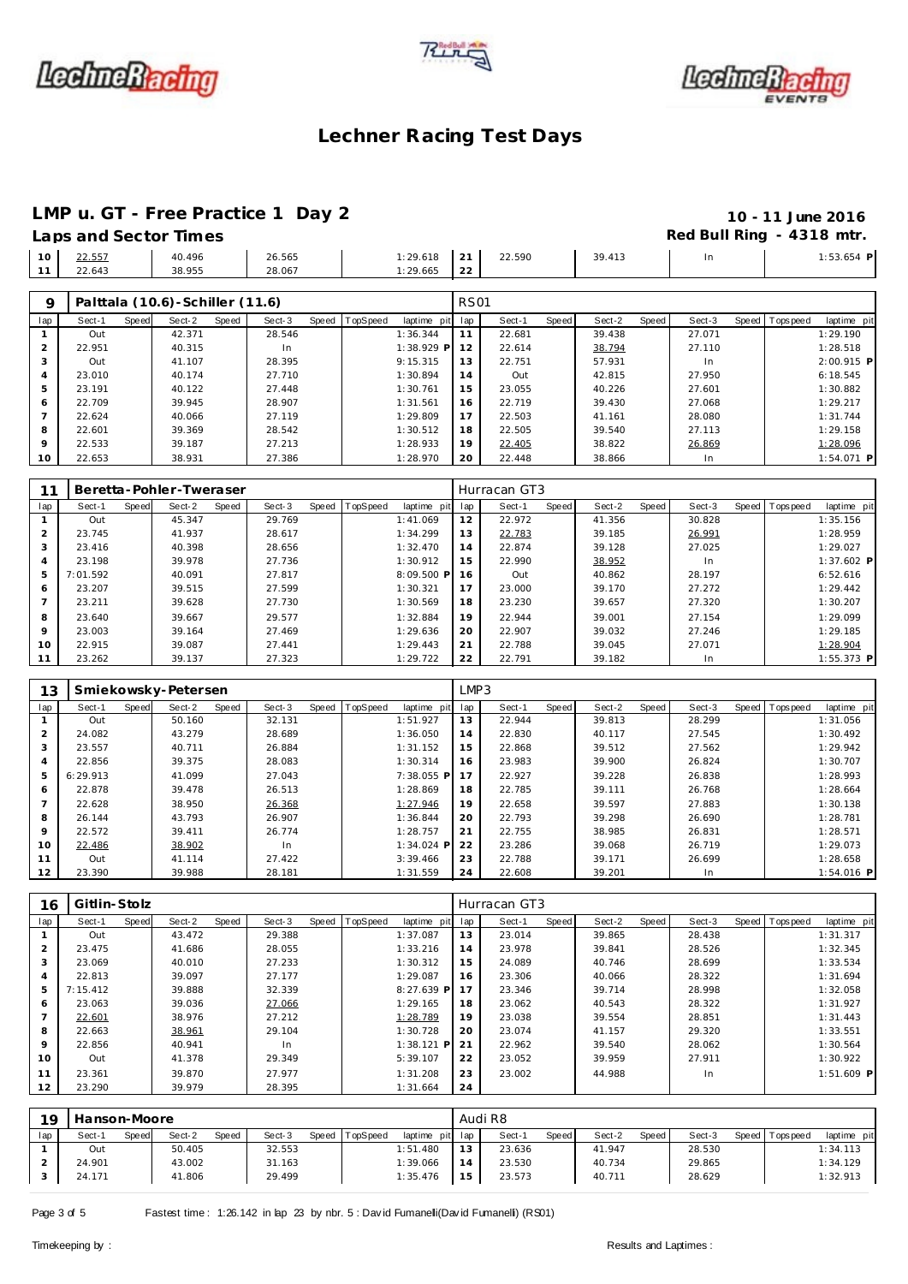





# **LMP u. GT - Free Practice 1 Day 2 10 - 11 June 2016**

|    | Laps and Sector Times |                  |                  |                           |             |        |        |    | Red Bull Ring - 4318 mtr. |
|----|-----------------------|------------------|------------------|---------------------------|-------------|--------|--------|----|---------------------------|
| 10 | 22.557<br>22.643      | 40.496<br>38.955 | 26.565<br>28.067 | $1:29.618$ 21<br>1:29.665 | $\sqrt{22}$ | 22.590 | 39.413 | In | $1:53.654$ F              |

| $\circ$        |        |       | Palttala (10.6)-Schiller (11.6) |       |        |       |          |                | <b>RS01</b> |        |       |        |       |        |                 |              |
|----------------|--------|-------|---------------------------------|-------|--------|-------|----------|----------------|-------------|--------|-------|--------|-------|--------|-----------------|--------------|
| lap            | Sect-1 | Speed | Sect-2                          | Speed | Sect-3 | Speed | TopSpeed | laptime<br>pit | lap         | Sect-1 | Speed | Sect-2 | Speed | Sect-3 | Speed Tops peed | laptime pit  |
|                | Out    |       | 42.371                          |       | 28.546 |       |          | 1:36.344       |             | 22.681 |       | 39.438 |       | 27.071 |                 | 1:29.190     |
| 2              | 22.951 |       | 40.315                          |       | In.    |       |          | $1:38.929$ P   | 12          | 22.614 |       | 38.794 |       | 27.110 |                 | 1:28.518     |
|                | Out    |       | 41.107                          |       | 28.395 |       |          | 9:15.315       | 13          | 22.751 |       | 57.931 |       | In.    |                 | $2:00.915$ P |
| $\overline{4}$ | 23.010 |       | 40.174                          |       | 27.710 |       |          | 1:30.894       | 14          | Out    |       | 42.815 |       | 27.950 |                 | 6:18.545     |
| 5              | 23.191 |       | 40.122                          |       | 27.448 |       |          | 1:30.761       | 15          | 23.055 |       | 40.226 |       | 27.601 |                 | 1:30.882     |
| 6              | 22.709 |       | 39.945                          |       | 28.907 |       |          | 1:31.561       | 16          | 22.719 |       | 39.430 |       | 27.068 |                 | 1:29.217     |
|                | 22.624 |       | 40.066                          |       | 27.119 |       |          | 1:29.809       | 17          | 22.503 |       | 41.161 |       | 28.080 |                 | 1:31.744     |
| 8              | 22.601 |       | 39.369                          |       | 28.542 |       |          | 1:30.512       | 18          | 22.505 |       | 39.540 |       | 27.113 |                 | 1:29.158     |
| $\circ$        | 22.533 |       | 39.187                          |       | 27.213 |       |          | 1:28.933       | 19          | 22.405 |       | 38.822 |       | 26.869 |                 | 1:28.096     |
| 10             | 22.653 |       | 38.931                          |       | 27.386 |       |          | 1:28.970       | 20          | 22.448 |       | 38.866 |       | In     |                 | $1:54.071$ P |

|         |          |       | Beretta-Pohler-Tweraser |       |        |       |          |             |     | Hurracan GT3 |       |        |       |        |         |             |              |
|---------|----------|-------|-------------------------|-------|--------|-------|----------|-------------|-----|--------------|-------|--------|-------|--------|---------|-------------|--------------|
| lap     | Sect-1   | Speed | Sect-2                  | Speed | Sect-3 | Speed | TopSpeed | laptime pit | lap | Sect-1       | Speed | Sect-2 | Speed | Sect-3 | Speed I | T ops pee d | laptime pit  |
|         | Out      |       | 45.347                  |       | 29.769 |       |          | 1:41.069    | 12  | 22.972       |       | 41.356 |       | 30.828 |         |             | 1:35.156     |
|         | 23.745   |       | 41.937                  |       | 28.617 |       |          | 1:34.299    | 13  | 22.783       |       | 39.185 |       | 26.991 |         |             | 1:28.959     |
| 3       | 23.416   |       | 40.398                  |       | 28.656 |       |          | 1:32.470    | 14  | 22.874       |       | 39.128 |       | 27.025 |         |             | 1:29.027     |
|         | 23.198   |       | 39.978                  |       | 27.736 |       |          | 1:30.912    | 15  | 22.990       |       | 38.952 |       | In     |         |             | $1:37.602$ P |
| 5       | 7:01.592 |       | 40.091                  |       | 27.817 |       |          | 8:09.500 P  | 16  | Out          |       | 40.862 |       | 28.197 |         |             | 6:52.616     |
| 6       | 23.207   |       | 39.515                  |       | 27.599 |       |          | 1:30.321    | 17  | 23,000       |       | 39.170 |       | 27.272 |         |             | 1:29.442     |
|         | 23.211   |       | 39.628                  |       | 27.730 |       |          | 1:30.569    | 18  | 23.230       |       | 39.657 |       | 27.320 |         |             | 1:30.207     |
| 8       | 23.640   |       | 39.667                  |       | 29.577 |       |          | 1:32.884    | 19  | 22.944       |       | 39.001 |       | 27.154 |         |             | 1:29.099     |
| $\circ$ | 23.003   |       | 39.164                  |       | 27.469 |       |          | 1:29.636    | 20  | 22.907       |       | 39.032 |       | 27.246 |         |             | 1:29.185     |
| 10      | 22.915   |       | 39.087                  |       | 27.441 |       |          | 1:29.443    | 21  | 22.788       |       | 39.045 |       | 27.071 |         |             | 1:28.904     |
| 11      | 23.262   |       | 39.137                  |       | 27.323 |       |          | 1:29.722    | 22  | 22.791       |       | 39.182 |       | In     |         |             | $1:55.373$ P |

| 13             |          |       | Smiekowsky-Petersen |       |        |       |          |              | LMP3 |        |       |        |       |        |                |              |
|----------------|----------|-------|---------------------|-------|--------|-------|----------|--------------|------|--------|-------|--------|-------|--------|----------------|--------------|
| lap            | Sect-1   | Speed | Sect-2              | Speed | Sect-3 | Speed | TopSpeed | laptime pit  | lap  | Sect-1 | Speed | Sect-2 | Speed | Sect-3 | Speed Topspeed | laptime pit  |
|                | Out      |       | 50.160              |       | 32.131 |       |          | 1:51.927     | 13   | 22.944 |       | 39.813 |       | 28.299 |                | 1:31.056     |
| 2              | 24.082   |       | 43.279              |       | 28.689 |       |          | 1:36.050     | 14   | 22.830 |       | 40.117 |       | 27.545 |                | 1:30.492     |
| 3              | 23.557   |       | 40.711              |       | 26.884 |       |          | 1:31.152     | 15   | 22.868 |       | 39.512 |       | 27.562 |                | 1:29.942     |
| $\overline{4}$ | 22.856   |       | 39.375              |       | 28.083 |       |          | 1:30.314     | 16   | 23.983 |       | 39.900 |       | 26.824 |                | 1:30.707     |
| 5              | 6:29.913 |       | 41.099              |       | 27.043 |       |          | 7:38.055 P   | 17   | 22.927 |       | 39.228 |       | 26.838 |                | 1:28.993     |
| 6              | 22.878   |       | 39.478              |       | 26.513 |       |          | 1:28.869     | 18   | 22.785 |       | 39.111 |       | 26.768 |                | 1:28.664     |
|                | 22.628   |       | 38.950              |       | 26.368 |       |          | 1:27.946     | 19   | 22.658 |       | 39.597 |       | 27.883 |                | 1:30.138     |
| 8              | 26.144   |       | 43.793              |       | 26.907 |       |          | 1:36.844     | 20   | 22.793 |       | 39.298 |       | 26.690 |                | 1:28.781     |
| 9              | 22.572   |       | 39.411              |       | 26.774 |       |          | 1:28.757     | 21   | 22.755 |       | 38.985 |       | 26.831 |                | 1:28.571     |
| 10             | 22.486   |       | 38.902              |       | In     |       |          | $1:34.024$ P | 22   | 23.286 |       | 39.068 |       | 26.719 |                | 1:29.073     |
| 11             | Out      |       | 41.114              |       | 27.422 |       |          | 3:39.466     | 23   | 22.788 |       | 39.171 |       | 26.699 |                | 1:28.658     |
| 12             | 23.390   |       | 39.988              |       | 28.181 |       |          | 1:31.559     | 24   | 22.608 |       | 39.201 |       | In.    |                | $1:54.016$ P |

| 16             | Gitlin-Stolz |       |        |       |        |       |          |              |     | Hurracan GT3 |       |        |       |        |                |              |
|----------------|--------------|-------|--------|-------|--------|-------|----------|--------------|-----|--------------|-------|--------|-------|--------|----------------|--------------|
| lap            | Sect-1       | Speed | Sect-2 | Speed | Sect-3 | Speed | TopSpeed | laptime pit  | lap | Sect-1       | Speed | Sect-2 | Speed | Sect-3 | Speed Topspeed | laptime pit  |
|                | Out          |       | 43.472 |       | 29.388 |       |          | 1:37.087     | 13  | 23.014       |       | 39.865 |       | 28.438 |                | 1:31.317     |
| 2              | 23.475       |       | 41.686 |       | 28.055 |       |          | 1:33.216     | 14  | 23.978       |       | 39.841 |       | 28.526 |                | 1:32.345     |
| 3              | 23.069       |       | 40.010 |       | 27.233 |       |          | 1:30.312     | 15  | 24.089       |       | 40.746 |       | 28.699 |                | 1:33.534     |
| $\overline{4}$ | 22.813       |       | 39.097 |       | 27.177 |       |          | 1:29.087     | 16  | 23.306       |       | 40.066 |       | 28.322 |                | 1:31.694     |
| 5              | 7:15.412     |       | 39.888 |       | 32.339 |       |          | $8:27.639$ P | 17  | 23.346       |       | 39.714 |       | 28.998 |                | 1:32.058     |
| 6              | 23.063       |       | 39.036 |       | 27.066 |       |          | 1:29.165     | 18  | 23.062       |       | 40.543 |       | 28.322 |                | 1:31.927     |
|                | 22.601       |       | 38.976 |       | 27.212 |       |          | 1:28.789     | 19  | 23.038       |       | 39.554 |       | 28.851 |                | 1:31.443     |
| 8              | 22.663       |       | 38.961 |       | 29.104 |       |          | 1:30.728     | 20  | 23.074       |       | 41.157 |       | 29.320 |                | 1:33.551     |
| 9              | 22.856       |       | 40.941 |       | In     |       |          | $1:38.121$ P | 21  | 22.962       |       | 39.540 |       | 28.062 |                | 1:30.564     |
| 10             | Out          |       | 41.378 |       | 29.349 |       |          | 5:39.107     | 22  | 23.052       |       | 39.959 |       | 27.911 |                | 1:30.922     |
| 11             | 23.361       |       | 39.870 |       | 27.977 |       |          | 1:31.208     | 23  | 23.002       |       | 44.988 |       | In.    |                | $1:51.609$ P |
| 12             | 23.290       |       | 39.979 |       | 28.395 |       |          | 1:31.664     | 24  |              |       |        |       |        |                |              |

| 19  | Hanson-Moore |       |        |       |        |       |          |                 |    | Audi R8 |       |        |       |        |                 |             |
|-----|--------------|-------|--------|-------|--------|-------|----------|-----------------|----|---------|-------|--------|-------|--------|-----------------|-------------|
| lap | Sect-1       | Speed | Sect-2 | Speed | Sect-3 | Speed | TopSpeed | laptime pit lap |    | Sect-1  | Speed | Sect-2 | Speed | Sect-3 | Speed Tops peed | laptime pit |
|     | Out          |       | 50.405 |       | 32.553 |       |          | 1:51.480        | 13 | 23.636  |       | 41.947 |       | 28.530 |                 | 1:34.113    |
|     | 24.901       |       | 43.002 |       | 31.163 |       |          | 1:39.066        |    | 23.530  |       | 40.734 |       | 29.865 |                 | 1:34.129    |
|     | 24.171       |       | 41.806 |       | 29.499 |       |          | 1:35.476        | 15 | 23.573  |       | 40.711 |       | 28.629 |                 | 1:32.913    |

Page 3 of 5 Fastest time : 1:26.142 in lap 23 by nbr. 5 : David Fumanelli(David Fumanelli) (RS01)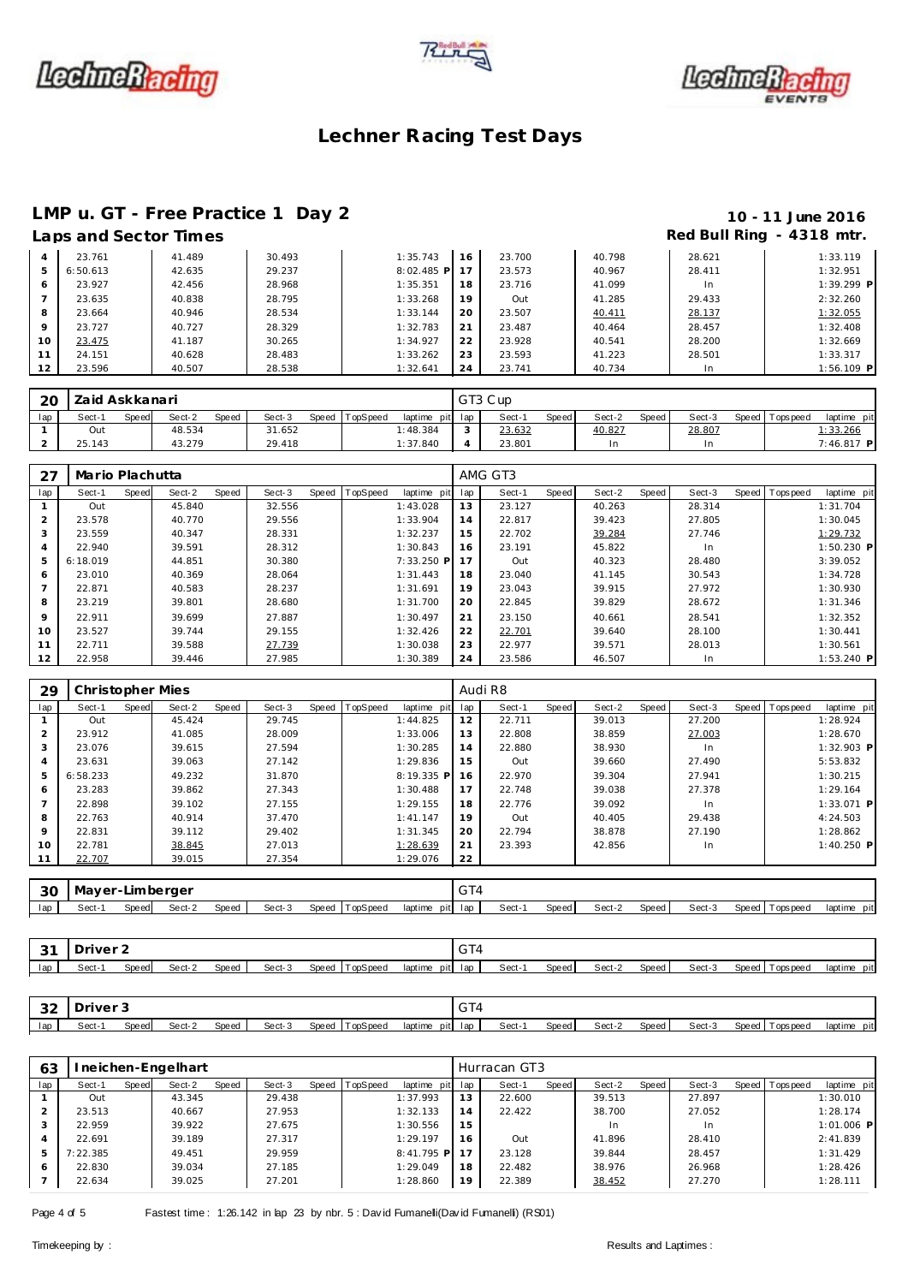





# **LMP u. GT - Free Practice 1 Day 2 10 - 11 June 2016**

### **Laps and Sector Times Red Bull Ring - 4318 mtr.**

|    | LUDJUNU JUULUI IIIIIUJ |        |        |              |    |        |        |        | .            |
|----|------------------------|--------|--------|--------------|----|--------|--------|--------|--------------|
|    | 23.761                 | 41.489 | 30.493 | 1:35.743     | 16 | 23.700 | 40.798 | 28.621 | 1:33.119     |
| 5  | 6:50.613               | 42.635 | 29.237 | $8:02.485$ P | 17 | 23.573 | 40.967 | 28.411 | 1:32.951     |
| 6  | 23.927                 | 42.456 | 28.968 | 1:35.351     | 18 | 23.716 | 41.099 | In     | $1:39.299$ P |
|    | 23.635                 | 40.838 | 28.795 | 1:33.268     | 19 | Out    | 41.285 | 29.433 | 2:32.260     |
| 8  | 23.664                 | 40.946 | 28.534 | 1:33.144     | 20 | 23.507 | 40.411 | 28.137 | 1:32.055     |
| 9  | 23.727                 | 40.727 | 28.329 | 1:32.783     | 21 | 23.487 | 40.464 | 28.457 | 1:32.408     |
| 10 | 23.475                 | 41.187 | 30.265 | 1:34.927     | 22 | 23.928 | 40.541 | 28,200 | 1:32.669     |
| 11 | 24.151                 | 40.628 | 28.483 | 1:33.262     | 23 | 23.593 | 41.223 | 28.501 | 1:33.317     |
| 12 | 23.596                 | 40.507 | 28.538 | 1:32.641     | 24 | 23.741 | 40.734 | In     | $1:56.109$ P |

| 20  | Zaid Askkanari |              |        |              |        |                |                 |        | GT3 Cup |       |        |       |        |         |           |             |
|-----|----------------|--------------|--------|--------------|--------|----------------|-----------------|--------|---------|-------|--------|-------|--------|---------|-----------|-------------|
| lap | Sect-1         | <b>Speed</b> | Sect-2 | <b>Speed</b> | Sect-3 | Speed TopSpeed | laptime pit lap |        | Sect-   | Speed | Sect-2 | Speed | Sect-3 | Speed T | Tops peed | laptime pit |
|     | Out            |              | 48.534 |              | 31.652 |                | 1:48.384        | $\sim$ | 23.632  |       | 40.827 |       | 28.807 |         |           | 1:33.266    |
|     | 25.143         |              | 43.279 |              | 29.418 |                | 1:37.840        |        | 23.801  |       |        |       | In     |         |           | 7:46.817 P  |

| 27      | Mario Plachutta |       |        |       |        |       |                 |              |     | AMG GT3 |       |        |       |        |                  |              |
|---------|-----------------|-------|--------|-------|--------|-------|-----------------|--------------|-----|---------|-------|--------|-------|--------|------------------|--------------|
| lap     | Sect-1          | Speed | Sect-2 | Speed | Sect-3 | Speed | <b>TopSpeed</b> | laptime pit  | lap | Sect-1  | Speed | Sect-2 | Speed | Sect-3 | Speed   Topspeed | laptime pit  |
|         | Out             |       | 45.840 |       | 32.556 |       |                 | 1:43.028     | 13  | 23.127  |       | 40.263 |       | 28.314 |                  | 1:31.704     |
|         | 23.578          |       | 40.770 |       | 29.556 |       |                 | 1:33.904     | 14  | 22.817  |       | 39.423 |       | 27.805 |                  | 1:30.045     |
|         | 23.559          |       | 40.347 |       | 28.331 |       |                 | 1:32.237     | 15  | 22.702  |       | 39.284 |       | 27.746 |                  | 1:29.732     |
|         | 22.940          |       | 39.591 |       | 28.312 |       |                 | 1:30.843     | 16  | 23.191  |       | 45.822 |       | In.    |                  | $1:50.230$ P |
| 5       | 6:18.019        |       | 44.851 |       | 30.380 |       |                 | $7:33.250$ P | 17  | Out     |       | 40.323 |       | 28.480 |                  | 3:39.052     |
| 6       | 23.010          |       | 40.369 |       | 28.064 |       |                 | 1:31.443     | 18  | 23.040  |       | 41.145 |       | 30.543 |                  | 1:34.728     |
|         | 22.871          |       | 40.583 |       | 28.237 |       |                 | 1:31.691     | 19  | 23.043  |       | 39.915 |       | 27.972 |                  | 1:30.930     |
| 8       | 23.219          |       | 39.801 |       | 28.680 |       |                 | 1:31.700     | 20  | 22.845  |       | 39.829 |       | 28.672 |                  | 1:31.346     |
| $\circ$ | 22.911          |       | 39.699 |       | 27.887 |       |                 | 1:30.497     | 21  | 23.150  |       | 40.661 |       | 28.541 |                  | 1:32.352     |
| 10      | 23.527          |       | 39.744 |       | 29.155 |       |                 | 1:32.426     | 22  | 22.701  |       | 39.640 |       | 28.100 |                  | 1:30.441     |
| 11      | 22.711          |       | 39.588 |       | 27.739 |       |                 | 1:30.038     | 23  | 22.977  |       | 39.571 |       | 28.013 |                  | 1:30.561     |
| 12      | 22.958          |       | 39.446 |       | 27.985 |       |                 | 1:30.389     | 24  | 23.586  |       | 46.507 |       | In.    |                  | $1:53.240$ P |

| 29             | Christopher Mies |       |        |       |        |       |          |             |     | Audi R8 |       |        |       |        |                |              |
|----------------|------------------|-------|--------|-------|--------|-------|----------|-------------|-----|---------|-------|--------|-------|--------|----------------|--------------|
| lap            | Sect-1           | Speed | Sect-2 | Speed | Sect-3 | Speed | TopSpeed | laptime pit | lap | Sect-1  | Speed | Sect-2 | Speed | Sect-3 | Speed Topspeed | laptime pit  |
|                | Out              |       | 45.424 |       | 29.745 |       |          | 1:44.825    | 12  | 22.711  |       | 39.013 |       | 27.200 |                | 1:28.924     |
| $\overline{2}$ | 23.912           |       | 41.085 |       | 28.009 |       |          | 1:33.006    | 13  | 22.808  |       | 38.859 |       | 27.003 |                | 1:28.670     |
| 3              | 23.076           |       | 39.615 |       | 27.594 |       |          | 1:30.285    | 14  | 22.880  |       | 38.930 |       | In.    |                | $1:32.903$ P |
| $\overline{a}$ | 23.631           |       | 39.063 |       | 27.142 |       |          | 1:29.836    | 15  | Out     |       | 39.660 |       | 27.490 |                | 5:53.832     |
| 5              | 6:58.233         |       | 49.232 |       | 31.870 |       |          | 8:19.335 P  | 16  | 22.970  |       | 39.304 |       | 27.941 |                | 1:30.215     |
| 6              | 23.283           |       | 39.862 |       | 27.343 |       |          | 1:30.488    | 17  | 22.748  |       | 39.038 |       | 27.378 |                | 1:29.164     |
|                | 22.898           |       | 39.102 |       | 27.155 |       |          | 1:29.155    | 18  | 22.776  |       | 39.092 |       | In.    |                | 1:33.071 P   |
| 8              | 22.763           |       | 40.914 |       | 37.470 |       |          | 1: 41.147   | 19  | Out     |       | 40.405 |       | 29.438 |                | 4:24.503     |
| 9              | 22.831           |       | 39.112 |       | 29.402 |       |          | 1:31.345    | 20  | 22.794  |       | 38.878 |       | 27.190 |                | 1:28.862     |
| 10             | 22.781           |       | 38.845 |       | 27.013 |       |          | 1:28.639    | 21  | 23.393  |       | 42.856 |       | In.    |                | $1:40.250$ P |
|                | 22.707           |       | 39.015 |       | 27.354 |       |          | 1:29.076    | 22  |         |       |        |       |        |                |              |
|                |                  |       |        |       |        |       |          |             |     |         |       |        |       |        |                |              |
| 30             | Mayer-Limberger  |       |        |       |        |       |          |             | GT4 |         |       |        |       |        |                |              |

lap | Sect-1 Speed| Sect-2 Speed | Sect-3 Speed |TopSpeed laptime pit lap | Sect-1 Speed Sect-2 Speed | Sect-3 Speed |Topspeed laptime pit

| $\sim$<br>ັ | <i>D</i> river |       |        |              |        |       |          |         | GT <sub>4</sub> |       |       |        |       |        |                   |             |
|-------------|----------------|-------|--------|--------------|--------|-------|----------|---------|-----------------|-------|-------|--------|-------|--------|-------------------|-------------|
| lap         | Sect-1         | Speed | Sect-2 | <b>Speed</b> | Sect-3 | Speed | TopSpeed | laptime | pit lap         | Sect- | Speed | Sect-2 | Speed | Sect-3 | Topspeeg<br>Speed | laptime pit |

| $\cap$<br>ے ت | river. |       |        |       |        |                   |                    | $\sim$ $+$<br>"ا ت |       |       |        |       |        |                    |                |
|---------------|--------|-------|--------|-------|--------|-------------------|--------------------|--------------------|-------|-------|--------|-------|--------|--------------------|----------------|
| lap           | Sect-  | Speed | Sect-2 | Speed | Sect-3 | TopSpeed<br>Speed | laptime<br>pit lap |                    | Sect- | Speed | Sect-2 | Speed | Sect-3 | Speed<br>Tops peed | laptime<br>pit |

| 63  |          |       | neichen-Engelhart |       |        |                |                 |    | Hurracan GT3 |       |        |       |        |                |              |
|-----|----------|-------|-------------------|-------|--------|----------------|-----------------|----|--------------|-------|--------|-------|--------|----------------|--------------|
| lap | Sect-1   | Speed | Sect-2            | Speed | Sect-3 | Speed TopSpeed | laptime pit lap |    | Sect-1       | Speed | Sect-2 | Speed | Sect-3 | Speed Topspeed | laptime pit  |
|     | Out      |       | 43.345            |       | 29.438 |                | 1:37.993        | 13 | 22.600       |       | 39.513 |       | 27.897 |                | 1:30.010     |
|     | 23.513   |       | 40.667            |       | 27.953 |                | 1:32.133        | 14 | 22.422       |       | 38.700 |       | 27.052 |                | 1:28.174     |
|     | 22.959   |       | 39.922            |       | 27.675 |                | 1:30.556        | 15 |              |       | 1n     |       | In.    |                | $1:01.006$ P |
| 4   | 22.691   |       | 39.189            |       | 27.317 |                | 1:29.197        | 16 | Out          |       | 41.896 |       | 28.410 |                | 2:41.839     |
| 5   | 1:22.385 |       | 49.451            |       | 29.959 |                | 8:41.795 P      | 17 | 23.128       |       | 39.844 |       | 28.457 |                | 1:31.429     |
| 6   | 22.830   |       | 39.034            |       | 27.185 |                | 1:29.049        | 18 | 22.482       |       | 38.976 |       | 26.968 |                | 1:28.426     |
|     | 22.634   |       | 39.025            |       | 27.201 |                | 1:28.860        | 19 | 22.389       |       | 38.452 |       | 27.270 |                | 1:28.111     |

Page 4 of 5 Fastest time : 1:26.142 in lap 23 by nbr. 5 : David Fumanelli(David Fumanelli) (RS01)